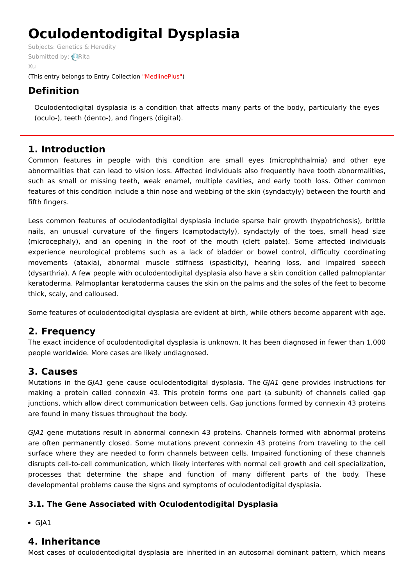# **Oculodentodigital Dysplasia**

Subjects: [Genetics](https://encyclopedia.pub/item/subject/56) & Heredity [Submitted](https://sciprofiles.com/profile/915637) by: **Rita** Xu (This entry belongs to Entry Collection ["MedlinePlus"](https://encyclopedia.pub/entry_collection?id=24))

# **Definition**

Oculodentodigital dysplasia is a condition that affects many parts of the body, particularly the eyes (oculo-), teeth (dento-), and fingers (digital).

## **1. Introduction**

Common features in people with this condition are small eyes (microphthalmia) and other eye abnormalities that can lead to vision loss. Affected individuals also frequently have tooth abnormalities, such as small or missing teeth, weak enamel, multiple cavities, and early tooth loss. Other common features of this condition include a thin nose and webbing of the skin (syndactyly) between the fourth and fifth fingers.

Less common features of oculodentodigital dysplasia include sparse hair growth (hypotrichosis), brittle nails, an unusual curvature of the fingers (camptodactyly), syndactyly of the toes, small head size (microcephaly), and an opening in the roof of the mouth (cleft palate). Some affected individuals experience neurological problems such as a lack of bladder or bowel control, difficulty coordinating movements (ataxia), abnormal muscle stiffness (spasticity), hearing loss, and impaired speech (dysarthria). A few people with oculodentodigital dysplasia also have a skin condition called palmoplantar keratoderma. Palmoplantar keratoderma causes the skin on the palms and the soles of the feet to become thick, scaly, and calloused.

Some features of oculodentodigital dysplasia are evident at birth, while others become apparent with age.

## **2. Frequency**

The exact incidence of oculodentodigital dysplasia is unknown. It has been diagnosed in fewer than 1,000 people worldwide. More cases are likely undiagnosed.

## **3. Causes**

Mutations in the GJA1 gene cause oculodentodigital dysplasia. The GJA1 gene provides instructions for making a protein called connexin 43. This protein forms one part (a subunit) of channels called gap junctions, which allow direct communication between cells. Gap junctions formed by connexin 43 proteins are found in many tissues throughout the body.

GJA1 gene mutations result in abnormal connexin 43 proteins. Channels formed with abnormal proteins are often permanently closed. Some mutations prevent connexin 43 proteins from traveling to the cell surface where they are needed to form channels between cells. Impaired functioning of these channels disrupts cell-to-cell communication, which likely interferes with normal cell growth and cell specialization, processes that determine the shape and function of many different parts of the body. These developmental problems cause the signs and symptoms of oculodentodigital dysplasia.

## **3.1. The Gene Associated with Oculodentodigital Dysplasia**

 $\bullet$  GJA1

## **4. Inheritance**

Most cases of oculodentodigital dysplasia are inherited in an autosomal dominant pattern, which means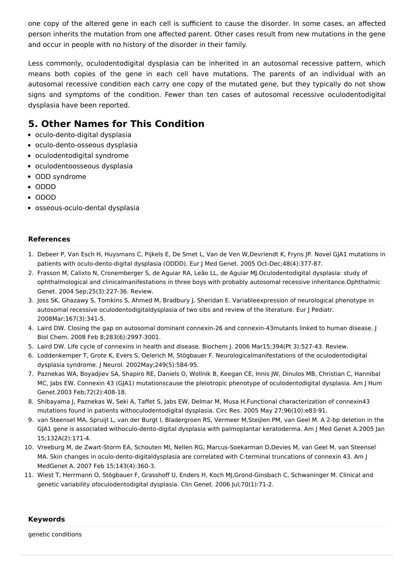one copy of the altered gene in each cell is sufficient to cause the disorder. In some cases, an affected person inherits the mutation from one affected parent. Other cases result from new mutations in the gene and occur in people with no history of the disorder in their family.

Less commonly, oculodentodigital dysplasia can be inherited in an autosomal recessive pattern, which means both copies of the gene in each cell have mutations. The parents of an individual with an autosomal recessive condition each carry one copy of the mutated gene, but they typically do not show signs and symptoms of the condition. Fewer than ten cases of autosomal recessive oculodentodigital dysplasia have been reported.

## **5. Other Names for This Condition**

- oculo-dento-digital dysplasia
- oculo-dento-osseous dysplasia
- oculodentodigital syndrome
- oculodentoosseous dysplasia
- ODD syndrome
- ODDD
- ODOD
- osseous-oculo-dental dysplasia

### **References**

- 1. Debeer P, Van Esch H, Huysmans C, Pijkels E, De Smet L, Van de Ven W,Devriendt K, Fryns JP. Novel GJA1 mutations in patients with oculo-dento-digital dysplasia (ODDD). Eur J Med Genet. 2005 Oct-Dec;48(4):377-87.
- 2. Frasson M, Calixto N, Cronemberger S, de Aguiar RA, Leão LL, de Aguiar MJ.Oculodentodigital dysplasia: study of ophthalmological and clinicalmanifestations in three boys with probably autosomal recessive inheritance.Ophthalmic Genet. 2004 Sep;25(3):227-36. Review.
- 3. Joss SK, Ghazawy S, Tomkins S, Ahmed M, Bradbury J, Sheridan E. Variableexpression of neurological phenotype in autosomal recessive oculodentodigitaldysplasia of two sibs and review of the literature. Eur J Pediatr. 2008Mar;167(3):341-5.
- 4. Laird DW. Closing the gap on autosomal dominant connexin-26 and connexin-43mutants linked to human disease. J Biol Chem. 2008 Feb 8;283(6):2997-3001.
- 5. Laird DW. Life cycle of connexins in health and disease. Biochem J. 2006 Mar15;394(Pt 3):527-43. Review.
- 6. Loddenkemper T, Grote K, Evers S, Oelerich M, Stögbauer F. Neurologicalmanifestations of the oculodentodigital dysplasia syndrome. J Neurol. 2002May;249(5):584-95.
- 7. Paznekas WA, Boyadjiev SA, Shapiro RE, Daniels O, Wollnik B, Keegan CE, Innis JW, Dinulos MB, Christian C, Hannibal MC, Jabs EW. Connexin 43 (GJA1) mutationscause the pleiotropic phenotype of oculodentodigital dysplasia. Am J Hum Genet.2003 Feb;72(2):408-18.
- 8. Shibayama J, Paznekas W, Seki A, Taffet S, Jabs EW, Delmar M, Musa H.Functional characterization of connexin43 mutations found in patients withoculodentodigital dysplasia. Circ Res. 2005 May 27;96(10):e83-91.
- 9. van Steensel MA, Spruijt L, van der Burgt I, Bladergroen RS, Vermeer M,Steijlen PM, van Geel M. A 2-bp deletion in the GJA1 gene is associated withoculo-dento-digital dysplasia with palmoplantar keratoderma. Am J Med Genet A.2005 Jan 15;132A(2):171-4.
- 10. Vreeburg M, de Zwart-Storm EA, Schouten MI, Nellen RG, Marcus-Soekarman D,Devies M, van Geel M, van Steensel MA. Skin changes in oculo-dento-digitaldysplasia are correlated with C-terminal truncations of connexin 43. Am J MedGenet A. 2007 Feb 15;143(4):360-3.
- 11. Wiest T, Herrmann O, Stögbauer F, Grasshoff U, Enders H, Koch MJ,Grond-Ginsbach C, Schwaninger M. Clinical and genetic variability ofoculodentodigital dysplasia. Clin Genet. 2006 Jul;70(1):71-2.

#### **Keywords**

genetic conditions